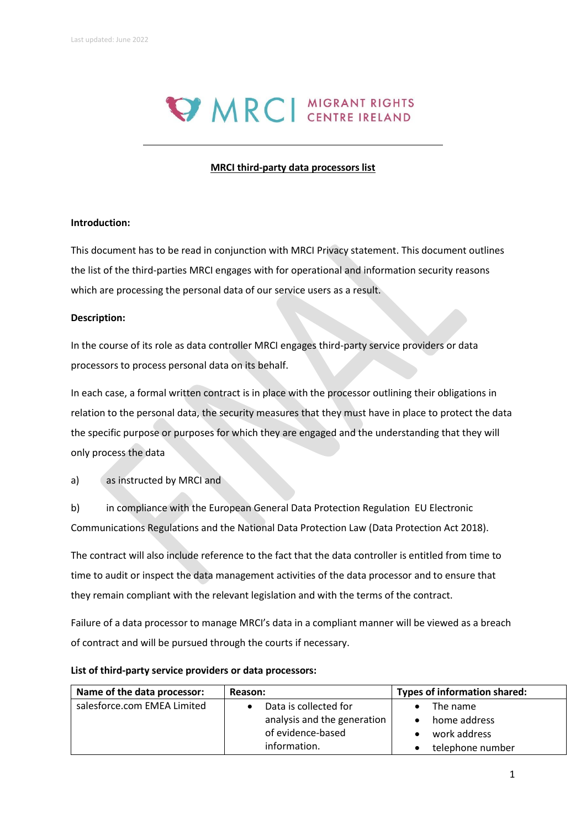# WRCI MIGRANT RIGHTS

## **MRCI third-party data processors list**

### **Introduction:**

This document has to be read in conjunction with MRCI Privacy statement. This document outlines the list of the third-parties MRCI engages with for operational and information security reasons which are processing the personal data of our service users as a result.

### **Description:**

In the course of its role as data controller MRCI engages third-party service providers or data processors to process personal data on its behalf.

In each case, a formal written contract is in place with the processor outlining their obligations in relation to the personal data, the security measures that they must have in place to protect the data the specific purpose or purposes for which they are engaged and the understanding that they will only process the data

- a) as instructed by MRCI and
- b) in compliance with the European General Data Protection Regulation EU Electronic Communications Regulations and the National Data Protection Law (Data Protection Act 2018).

The contract will also include reference to the fact that the data controller is entitled from time to time to audit or inspect the data management activities of the data processor and to ensure that they remain compliant with the relevant legislation and with the terms of the contract.

Failure of a data processor to manage MRCI's data in a compliant manner will be viewed as a breach of contract and will be pursued through the courts if necessary.

| Name of the data processor: | Reason:                     | <b>Types of information shared:</b> |
|-----------------------------|-----------------------------|-------------------------------------|
| salesforce.com EMEA Limited | Data is collected for       | The name                            |
|                             | analysis and the generation | home address                        |
|                             | of evidence-based           | work address                        |
|                             | information.                | telephone number                    |

#### **List of third-party service providers or data processors:**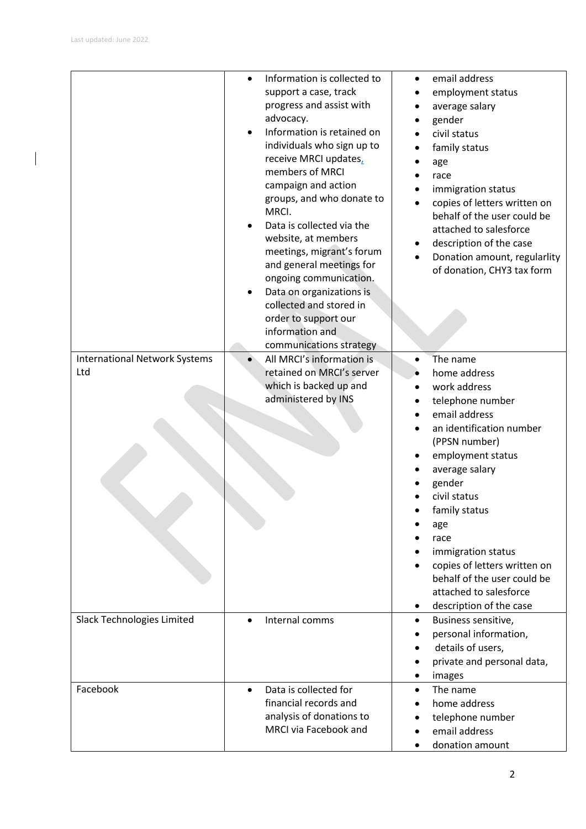$\overline{\phantom{a}}$ 

| <b>International Network Systems</b><br>Ltd | Information is collected to<br>support a case, track<br>progress and assist with<br>advocacy.<br>Information is retained on<br>individuals who sign up to<br>receive MRCI updates,<br>members of MRCI<br>campaign and action<br>groups, and who donate to<br>MRCI.<br>Data is collected via the<br>website, at members<br>meetings, migrant's forum<br>and general meetings for<br>ongoing communication.<br>Data on organizations is<br>collected and stored in<br>order to support our<br>information and<br>communications strategy<br>All MRCI's information is<br>retained on MRCI's server<br>which is backed up and<br>administered by INS | email address<br>employment status<br>average salary<br>gender<br>civil status<br>family status<br>age<br>race<br>immigration status<br>copies of letters written on<br>behalf of the user could be<br>attached to salesforce<br>description of the case<br>Donation amount, regularlity<br>of donation, CHY3 tax form<br>The name<br>home address<br>work address<br>telephone number<br>email address<br>an identification number<br>(PPSN number)<br>employment status<br>average salary<br>gender<br>civil status<br>family status<br>age<br>race<br>immigration status<br>copies of letters written on<br>behalf of the user could be<br>attached to salesforce<br>description of the case |
|---------------------------------------------|---------------------------------------------------------------------------------------------------------------------------------------------------------------------------------------------------------------------------------------------------------------------------------------------------------------------------------------------------------------------------------------------------------------------------------------------------------------------------------------------------------------------------------------------------------------------------------------------------------------------------------------------------|-------------------------------------------------------------------------------------------------------------------------------------------------------------------------------------------------------------------------------------------------------------------------------------------------------------------------------------------------------------------------------------------------------------------------------------------------------------------------------------------------------------------------------------------------------------------------------------------------------------------------------------------------------------------------------------------------|
| <b>Slack Technologies Limited</b>           | Internal comms<br>$\bullet$                                                                                                                                                                                                                                                                                                                                                                                                                                                                                                                                                                                                                       | Business sensitive,<br>$\bullet$<br>personal information,<br>details of users,<br>private and personal data,<br>images                                                                                                                                                                                                                                                                                                                                                                                                                                                                                                                                                                          |
| Facebook                                    | Data is collected for<br>$\bullet$<br>financial records and<br>analysis of donations to<br>MRCI via Facebook and                                                                                                                                                                                                                                                                                                                                                                                                                                                                                                                                  | The name<br>$\bullet$<br>home address<br>telephone number<br>email address<br>donation amount                                                                                                                                                                                                                                                                                                                                                                                                                                                                                                                                                                                                   |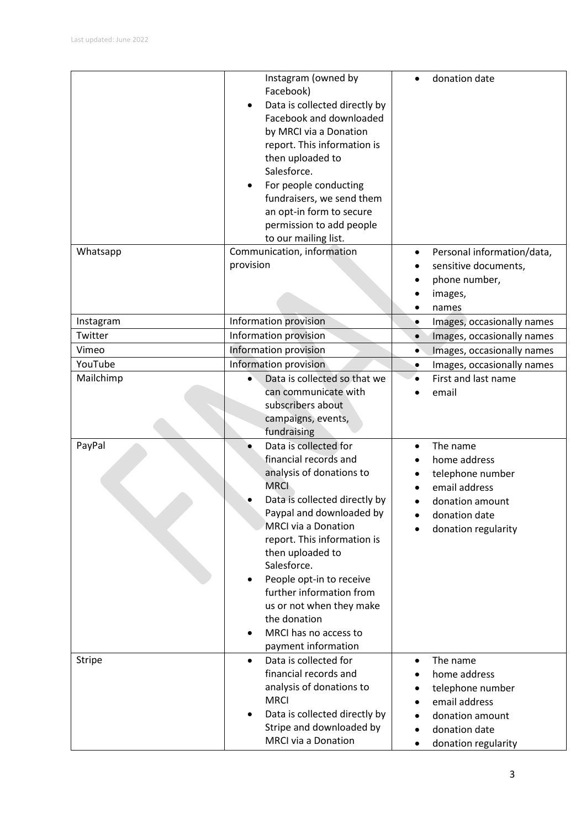|                      | Instagram (owned by<br>Facebook)<br>Data is collected directly by<br>$\bullet$<br>Facebook and downloaded<br>by MRCI via a Donation<br>report. This information is<br>then uploaded to<br>Salesforce.<br>For people conducting<br>fundraisers, we send them<br>an opt-in form to secure<br>permission to add people<br>to our mailing list.                                                                | donation date                                                                                                                              |
|----------------------|------------------------------------------------------------------------------------------------------------------------------------------------------------------------------------------------------------------------------------------------------------------------------------------------------------------------------------------------------------------------------------------------------------|--------------------------------------------------------------------------------------------------------------------------------------------|
| Whatsapp             | Communication, information<br>provision                                                                                                                                                                                                                                                                                                                                                                    | Personal information/data,<br>sensitive documents,<br>phone number,<br>images,<br>names<br>$\bullet$                                       |
| Instagram            | Information provision                                                                                                                                                                                                                                                                                                                                                                                      | Images, occasionally names<br>$\bullet$                                                                                                    |
| Twitter              | Information provision                                                                                                                                                                                                                                                                                                                                                                                      | Images, occasionally names<br>$\bullet$                                                                                                    |
| Vimeo                | Information provision                                                                                                                                                                                                                                                                                                                                                                                      | Images, occasionally names<br>$\bullet$                                                                                                    |
| YouTube<br>Mailchimp | Information provision<br>Data is collected so that we                                                                                                                                                                                                                                                                                                                                                      | Images, occasionally names<br>$\bullet$<br>First and last name<br>$\bullet$                                                                |
|                      | can communicate with<br>subscribers about<br>campaigns, events,<br>fundraising                                                                                                                                                                                                                                                                                                                             | email                                                                                                                                      |
| PayPal               | Data is collected for<br>financial records and<br>analysis of donations to<br><b>MRCI</b><br>Data is collected directly by<br>Paypal and downloaded by<br><b>MRCI via a Donation</b><br>report. This information is<br>then uploaded to<br>Salesforce.<br>People opt-in to receive<br>further information from<br>us or not when they make<br>the donation<br>MRCI has no access to<br>payment information | The name<br>$\bullet$<br>home address<br>telephone number<br>email address<br>donation amount<br>donation date<br>donation regularity      |
| <b>Stripe</b>        | Data is collected for<br>$\bullet$<br>financial records and<br>analysis of donations to<br><b>MRCI</b><br>Data is collected directly by<br>Stripe and downloaded by<br><b>MRCI via a Donation</b>                                                                                                                                                                                                          | The name<br>$\bullet$<br>home address<br>telephone number<br>email address<br>donation amount<br>donation date<br>donation regularity<br>٠ |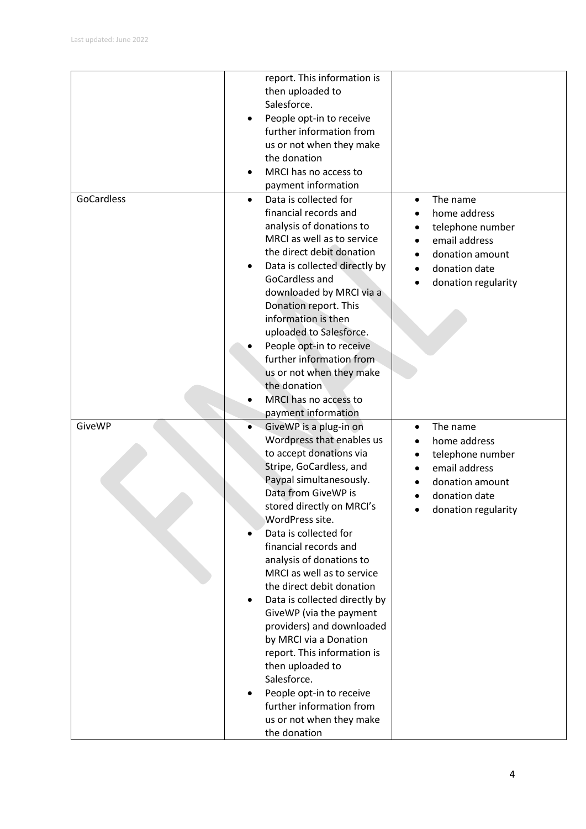|            | report. This information is                            |                            |
|------------|--------------------------------------------------------|----------------------------|
|            | then uploaded to<br>Salesforce.                        |                            |
|            | People opt-in to receive                               |                            |
|            | further information from                               |                            |
|            | us or not when they make                               |                            |
|            | the donation                                           |                            |
|            | MRCI has no access to                                  |                            |
|            | payment information                                    |                            |
| GoCardless | Data is collected for<br>$\bullet$                     | The name<br>$\bullet$      |
|            | financial records and                                  | home address               |
|            | analysis of donations to                               | telephone number           |
|            | MRCI as well as to service                             | email address              |
|            | the direct debit donation                              | donation amount            |
|            | Data is collected directly by                          | donation date<br>$\bullet$ |
|            | GoCardless and                                         | donation regularity        |
|            | downloaded by MRCI via a                               |                            |
|            | Donation report. This                                  |                            |
|            | information is then                                    |                            |
|            | uploaded to Salesforce.                                |                            |
|            | People opt-in to receive                               |                            |
|            | further information from                               |                            |
|            | us or not when they make<br>the donation               |                            |
|            | MRCI has no access to                                  |                            |
|            | payment information                                    |                            |
| GiveWP     | GiveWP is a plug-in on<br>$\bullet$                    | The name                   |
|            | Wordpress that enables us                              | home address               |
|            | to accept donations via                                | telephone number           |
|            | Stripe, GoCardless, and                                | email address              |
|            | Paypal simultanesously.                                | donation amount            |
|            | Data from GiveWP is                                    | donation date              |
|            | stored directly on MRCI's                              | donation regularity        |
|            | WordPress site.                                        |                            |
|            | Data is collected for                                  |                            |
|            | financial records and                                  |                            |
|            | analysis of donations to<br>MRCI as well as to service |                            |
|            | the direct debit donation                              |                            |
|            | Data is collected directly by<br>$\bullet$             |                            |
|            | GiveWP (via the payment                                |                            |
|            | providers) and downloaded                              |                            |
|            | by MRCI via a Donation                                 |                            |
|            | report. This information is                            |                            |
|            | then uploaded to                                       |                            |
|            | Salesforce.                                            |                            |
|            | People opt-in to receive                               |                            |
|            |                                                        |                            |
|            | further information from                               |                            |
|            | us or not when they make                               |                            |